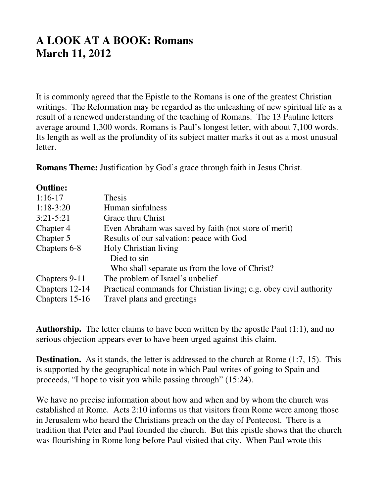## **A LOOK AT A BOOK: Romans March 11, 2012**

It is commonly agreed that the Epistle to the Romans is one of the greatest Christian writings. The Reformation may be regarded as the unleashing of new spiritual life as a result of a renewed understanding of the teaching of Romans. The 13 Pauline letters average around 1,300 words. Romans is Paul's longest letter, with about 7,100 words. Its length as well as the profundity of its subject matter marks it out as a most unusual letter.

**Romans Theme:** Justification by God's grace through faith in Jesus Christ.

## **Outline:**

| $1:16-17$      | Thesis                                                             |
|----------------|--------------------------------------------------------------------|
| $1:18-3:20$    | Human sinfulness                                                   |
| $3:21 - 5:21$  | Grace thru Christ                                                  |
| Chapter 4      | Even Abraham was saved by faith (not store of merit)               |
| Chapter 5      | Results of our salvation: peace with God                           |
| Chapters 6-8   | Holy Christian living                                              |
|                | Died to sin                                                        |
|                | Who shall separate us from the love of Christ?                     |
| Chapters 9-11  | The problem of Israel's unbelief                                   |
| Chapters 12-14 | Practical commands for Christian living; e.g. obey civil authority |
| Chapters 15-16 | Travel plans and greetings                                         |
|                |                                                                    |

**Authorship.** The letter claims to have been written by the apostle Paul (1:1), and no serious objection appears ever to have been urged against this claim.

**Destination.** As it stands, the letter is addressed to the church at Rome (1:7, 15). This is supported by the geographical note in which Paul writes of going to Spain and proceeds, "I hope to visit you while passing through" (15:24).

We have no precise information about how and when and by whom the church was established at Rome. Acts 2:10 informs us that visitors from Rome were among those in Jerusalem who heard the Christians preach on the day of Pentecost. There is a tradition that Peter and Paul founded the church. But this epistle shows that the church was flourishing in Rome long before Paul visited that city. When Paul wrote this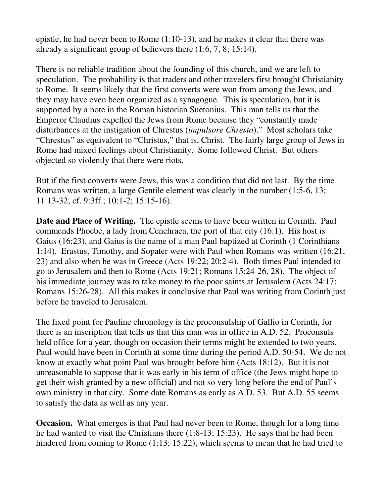epistle, he had never been to Rome (1:10-13), and he makes it clear that there was already a significant group of believers there (1:6, 7, 8; 15:14).

There is no reliable tradition about the founding of this church, and we are left to speculation. The probability is that traders and other travelers first brought Christianity to Rome. It seems likely that the first converts were won from among the Jews, and they may have even been organized as a synagogue. This is speculation, but it is supported by a note in the Roman historian Suetonius. This man tells us that the Emperor Claudius expelled the Jews from Rome because they "constantly made disturbances at the instigation of Chrestus (*impulsore Chresto*)." Most scholars take "Chrestus" as equivalent to "Christus," that is, Christ. The fairly large group of Jews in Rome had mixed feelings about Christianity. Some followed Christ. But others objected so violently that there were riots.

But if the first converts were Jews, this was a condition that did not last. By the time Romans was written, a large Gentile element was clearly in the number (1:5-6, 13; 11:13-32; cf. 9:3ff.; 10:1-2; 15:15-16).

**Date and Place of Writing.** The epistle seems to have been written in Corinth. Paul commends Phoebe, a lady from Cenchraea, the port of that city (16:1). His host is Gaius (16:23), and Gaius is the name of a man Paul baptized at Corinth (1 Corinthians 1:14). Erastus, Timothy, and Sopater were with Paul when Romans was written (16:21, 23) and also when he was in Greece (Acts 19:22; 20:2-4). Both times Paul intended to go to Jerusalem and then to Rome (Acts 19:21; Romans 15:24-26, 28). The object of his immediate journey was to take money to the poor saints at Jerusalem (Acts 24:17; Romans 15:26-28). All this makes it conclusive that Paul was writing from Corinth just before he traveled to Jerusalem.

The fixed point for Pauline chronology is the proconsulship of Gallio in Corinth, for there is an inscription that tells us that this man was in office in A.D. 52. Proconsuls held office for a year, though on occasion their terms might be extended to two years. Paul would have been in Corinth at some time during the period A.D. 50-54. We do not know at exactly what point Paul was brought before him (Acts 18:12). But it is not unreasonable to suppose that it was early in his term of office (the Jews might hope to get their wish granted by a new official) and not so very long before the end of Paul's own ministry in that city. Some date Romans as early as A.D. 53. But A.D. 55 seems to satisfy the data as well as any year.

**Occasion.** What emerges is that Paul had never been to Rome, though for a long time he had wanted to visit the Christians there (1:8-13; 15:23). He says that he had been hindered from coming to Rome (1:13; 15:22), which seems to mean that he had tried to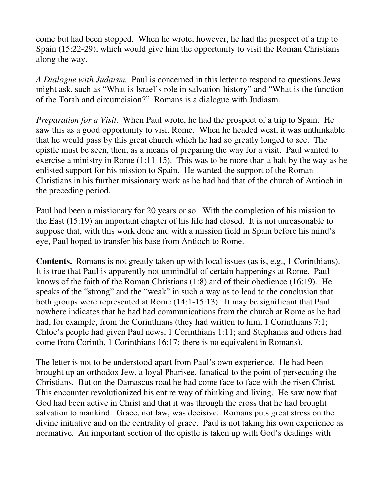come but had been stopped. When he wrote, however, he had the prospect of a trip to Spain (15:22-29), which would give him the opportunity to visit the Roman Christians along the way.

*A Dialogue with Judaism.* Paul is concerned in this letter to respond to questions Jews might ask, such as "What is Israel's role in salvation-history" and "What is the function of the Torah and circumcision?" Romans is a dialogue with Judiasm.

*Preparation for a Visit.* When Paul wrote, he had the prospect of a trip to Spain. He saw this as a good opportunity to visit Rome. When he headed west, it was unthinkable that he would pass by this great church which he had so greatly longed to see. The epistle must be seen, then, as a means of preparing the way for a visit. Paul wanted to exercise a ministry in Rome (1:11-15). This was to be more than a halt by the way as he enlisted support for his mission to Spain. He wanted the support of the Roman Christians in his further missionary work as he had had that of the church of Antioch in the preceding period.

Paul had been a missionary for 20 years or so. With the completion of his mission to the East (15:19) an important chapter of his life had closed. It is not unreasonable to suppose that, with this work done and with a mission field in Spain before his mind's eye, Paul hoped to transfer his base from Antioch to Rome.

**Contents.** Romans is not greatly taken up with local issues (as is, e.g., 1 Corinthians). It is true that Paul is apparently not unmindful of certain happenings at Rome. Paul knows of the faith of the Roman Christians (1:8) and of their obedience (16:19). He speaks of the "strong" and the "weak" in such a way as to lead to the conclusion that both groups were represented at Rome (14:1-15:13). It may be significant that Paul nowhere indicates that he had had communications from the church at Rome as he had had, for example, from the Corinthians (they had written to him, 1 Corinthians 7:1; Chloe's people had given Paul news, 1 Corinthians 1:11; and Stephanas and others had come from Corinth, 1 Corinthians 16:17; there is no equivalent in Romans).

The letter is not to be understood apart from Paul's own experience. He had been brought up an orthodox Jew, a loyal Pharisee, fanatical to the point of persecuting the Christians. But on the Damascus road he had come face to face with the risen Christ. This encounter revolutionized his entire way of thinking and living. He saw now that God had been active in Christ and that it was through the cross that he had brought salvation to mankind. Grace, not law, was decisive. Romans puts great stress on the divine initiative and on the centrality of grace. Paul is not taking his own experience as normative. An important section of the epistle is taken up with God's dealings with